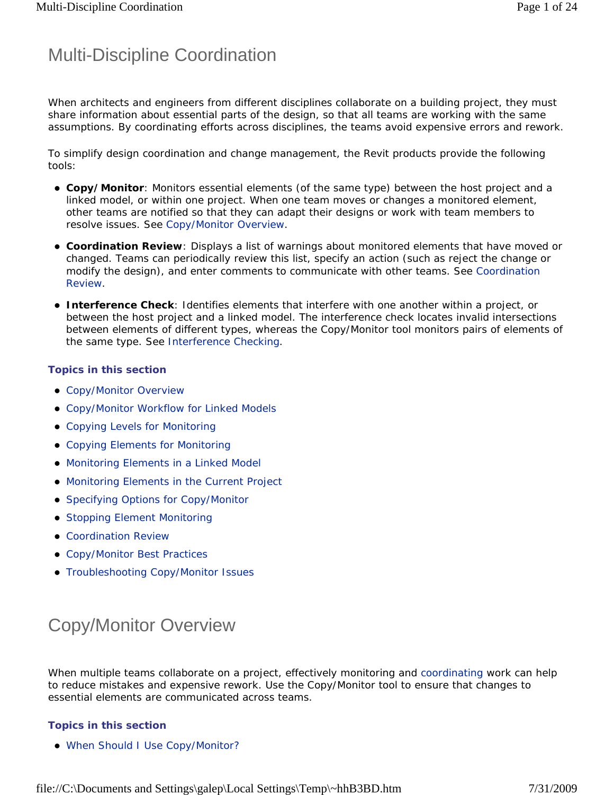## Multi-Discipline Coordination

When architects and engineers from different disciplines collaborate on a building project, they must share information about essential parts of the design, so that all teams are working with the same assumptions. By coordinating efforts across disciplines, the teams avoid expensive errors and rework.

To simplify design coordination and change management, the Revit products provide the following tools:

- **Copy/Monitor**: Monitors essential elements (of the same type) between the host project and a linked model, or within one project. When one team moves or changes a monitored element, other teams are notified so that they can adapt their designs or work with team members to resolve issues. See Copy/Monitor Overview.
- **Coordination Review**: Displays a list of warnings about monitored elements that have moved or changed. Teams can periodically review this list, specify an action (such as reject the change or modify the design), and enter comments to communicate with other teams. See Coordination Review.
- **Interference Check**: Identifies elements that interfere with one another within a project, or between the host project and a linked model. The interference check locates invalid intersections between elements of different types, whereas the Copy/Monitor tool monitors pairs of elements of the same type. See Interference Checking.

#### **Topics in this section**

- Copy/Monitor Overview
- Copy/Monitor Workflow for Linked Models
- Copying Levels for Monitoring
- Copying Elements for Monitoring
- Monitoring Elements in a Linked Model
- Monitoring Elements in the Current Project
- Specifying Options for Copy/Monitor
- **Stopping Element Monitoring**
- Coordination Review
- Copy/Monitor Best Practices
- **Troubleshooting Copy/Monitor Issues**

# Copy/Monitor Overview

When multiple teams collaborate on a project, effectively monitoring and coordinating work can help to reduce mistakes and expensive rework. Use the Copy/Monitor tool to ensure that changes to essential elements are communicated across teams.

#### **Topics in this section**

When Should I Use Copy/Monitor?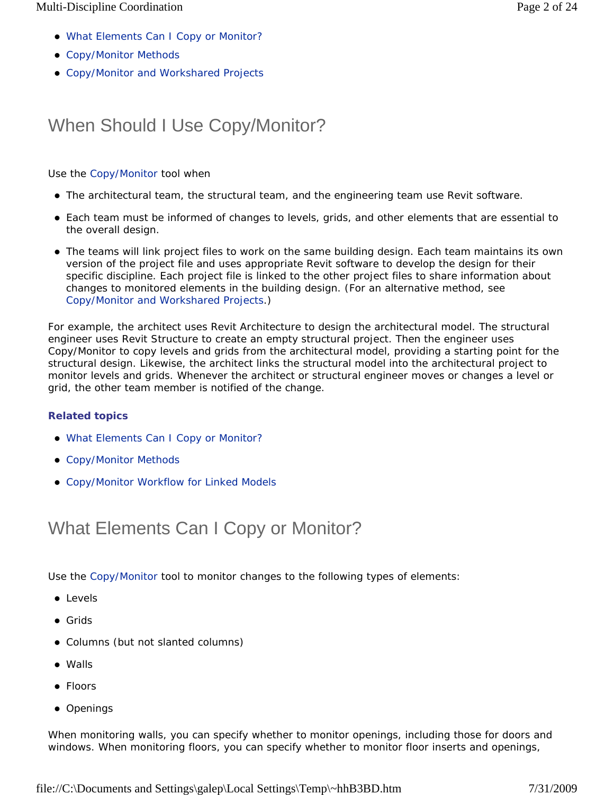- What Elements Can I Copy or Monitor?
- Copy/Monitor Methods
- Copy/Monitor and Workshared Projects

## When Should I Use Copy/Monitor?

Use the Copy/Monitor tool when

- The architectural team, the structural team, and the engineering team use Revit software.
- Each team must be informed of changes to levels, grids, and other elements that are essential to the overall design.
- The teams will link project files to work on the same building design. Each team maintains its own version of the project file and uses appropriate Revit software to develop the design for their specific discipline. Each project file is linked to the other project files to share information about changes to monitored elements in the building design. (For an alternative method, see Copy/Monitor and Workshared Projects.)

For example, the architect uses Revit Architecture to design the architectural model. The structural engineer uses Revit Structure to create an empty structural project. Then the engineer uses Copy/Monitor to copy levels and grids from the architectural model, providing a starting point for the structural design. Likewise, the architect links the structural model into the architectural project to monitor levels and grids. Whenever the architect or structural engineer moves or changes a level or grid, the other team member is notified of the change.

#### **Related topics**

- What Elements Can I Copy or Monitor?
- Copy/Monitor Methods
- Copy/Monitor Workflow for Linked Models

### What Elements Can I Copy or Monitor?

Use the Copy/Monitor tool to monitor changes to the following types of elements:

- **•** Levels
- Grids
- Columns (but not slanted columns)
- Walls
- Floors
- Openings

When monitoring walls, you can specify whether to monitor openings, including those for doors and windows. When monitoring floors, you can specify whether to monitor floor inserts and openings,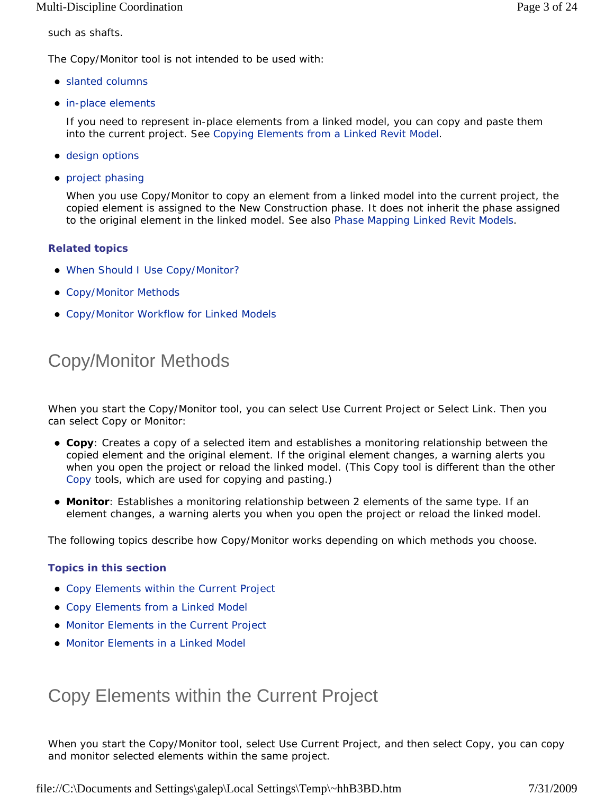such as shafts.

The Copy/Monitor tool is not intended to be used with:

- slanted columns
- in-place elements

If you need to represent in-place elements from a linked model, you can copy and paste them into the current project. See Copying Elements from a Linked Revit Model.

- design options
- project phasing

When you use Copy/Monitor to copy an element from a linked model into the current project, the copied element is assigned to the New Construction phase. It does not inherit the phase assigned to the original element in the linked model. See also Phase Mapping Linked Revit Models.

#### **Related topics**

- When Should I Use Copy/Monitor?
- Copy/Monitor Methods
- Copy/Monitor Workflow for Linked Models

## Copy/Monitor Methods

When you start the Copy/Monitor tool, you can select Use Current Project or Select Link. Then you can select Copy or Monitor:

- **Copy**: Creates a copy of a selected item and establishes a monitoring relationship between the copied element and the original element. If the original element changes, a warning alerts you when you open the project or reload the linked model. (This Copy tool is different than the other Copy tools, which are used for copying and pasting.)
- **Monitor**: Establishes a monitoring relationship between 2 elements of the same type. If an element changes, a warning alerts you when you open the project or reload the linked model.

The following topics describe how Copy/Monitor works depending on which methods you choose.

#### **Topics in this section**

- Copy Elements within the Current Project
- Copy Elements from a Linked Model
- Monitor Elements in the Current Project
- Monitor Elements in a Linked Model

### Copy Elements within the Current Project

When you start the Copy/Monitor tool, select Use Current Project, and then select Copy, you can copy and monitor selected elements within the same project.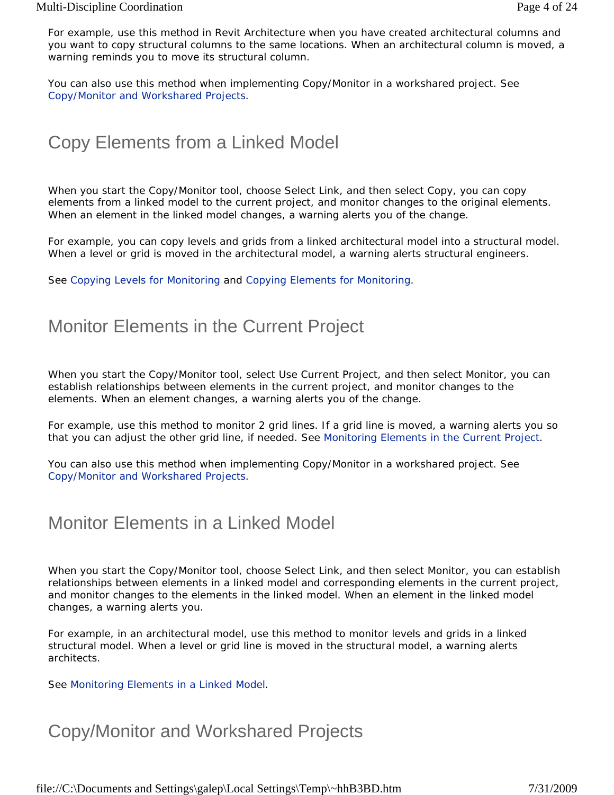For example, use this method in Revit Architecture when you have created architectural columns and you want to copy structural columns to the same locations. When an architectural column is moved, a warning reminds you to move its structural column.

You can also use this method when implementing Copy/Monitor in a workshared project. See Copy/Monitor and Workshared Projects.

## Copy Elements from a Linked Model

When you start the Copy/Monitor tool, choose Select Link, and then select Copy, you can copy elements from a linked model to the current project, and monitor changes to the original elements. When an element in the linked model changes, a warning alerts you of the change.

For example, you can copy levels and grids from a linked architectural model into a structural model. When a level or grid is moved in the architectural model, a warning alerts structural engineers.

See Copying Levels for Monitoring and Copying Elements for Monitoring.

### Monitor Elements in the Current Project

When you start the Copy/Monitor tool, select Use Current Project, and then select Monitor, you can establish relationships between elements in the current project, and monitor changes to the elements. When an element changes, a warning alerts you of the change.

For example, use this method to monitor 2 grid lines. If a grid line is moved, a warning alerts you so that you can adjust the other grid line, if needed. See Monitoring Elements in the Current Project.

You can also use this method when implementing Copy/Monitor in a workshared project. See Copy/Monitor and Workshared Projects.

### Monitor Elements in a Linked Model

When you start the Copy/Monitor tool, choose Select Link, and then select Monitor, you can establish relationships between elements in a linked model and corresponding elements in the current project, and monitor changes to the elements in the linked model. When an element in the linked model changes, a warning alerts you.

For example, in an architectural model, use this method to monitor levels and grids in a linked structural model. When a level or grid line is moved in the structural model, a warning alerts architects.

See Monitoring Elements in a Linked Model.

### Copy/Monitor and Workshared Projects

file://C:\Documents and Settings\galep\Local Settings\Temp\~hhB3BD.htm 7/31/2009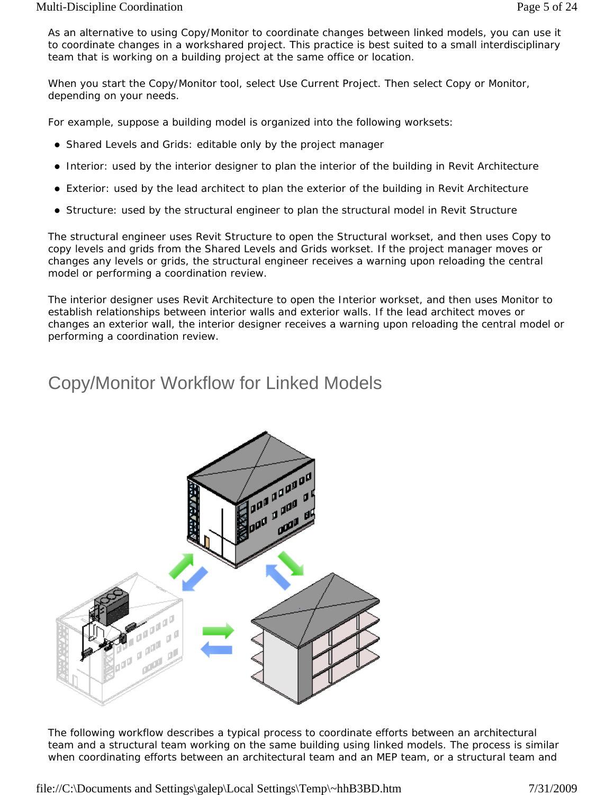As an alternative to using Copy/Monitor to coordinate changes between linked models, you can use it to coordinate changes in a workshared project. This practice is best suited to a small interdisciplinary team that is working on a building project at the same office or location.

When you start the Copy/Monitor tool, select Use Current Project. Then select Copy or Monitor, depending on your needs.

For example, suppose a building model is organized into the following worksets:

- Shared Levels and Grids: editable only by the project manager
- Interior: used by the interior designer to plan the interior of the building in Revit Architecture
- Exterior: used by the lead architect to plan the exterior of the building in Revit Architecture
- Structure: used by the structural engineer to plan the structural model in Revit Structure

The structural engineer uses Revit Structure to open the Structural workset, and then uses Copy to copy levels and grids from the Shared Levels and Grids workset. If the project manager moves or changes any levels or grids, the structural engineer receives a warning upon reloading the central model or performing a coordination review.

The interior designer uses Revit Architecture to open the Interior workset, and then uses Monitor to establish relationships between interior walls and exterior walls. If the lead architect moves or changes an exterior wall, the interior designer receives a warning upon reloading the central model or performing a coordination review.

## Copy/Monitor Workflow for Linked Models



The following workflow describes a typical process to coordinate efforts between an architectural team and a structural team working on the same building using linked models. The process is similar when coordinating efforts between an architectural team and an MEP team, or a structural team and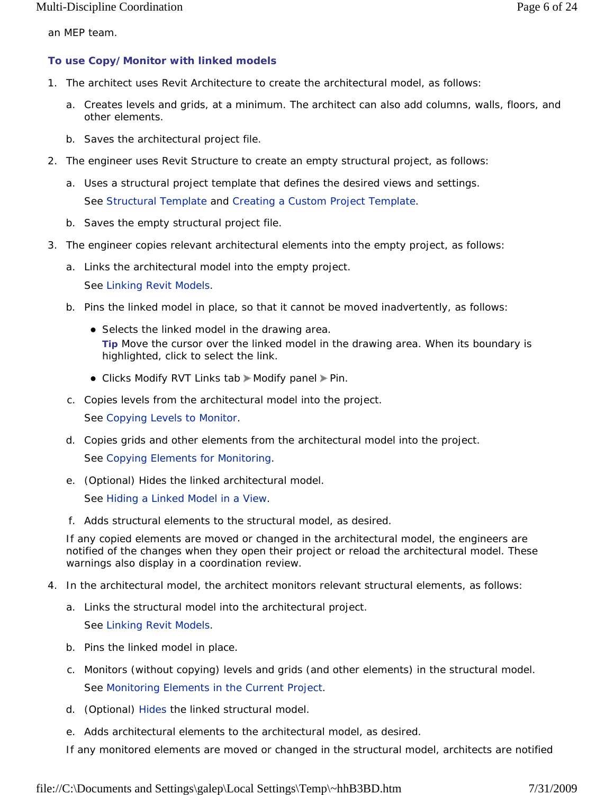an MEP team.

#### **To use Copy/Monitor with linked models**

- 1. The architect uses Revit Architecture to create the architectural model, as follows:
	- a. Creates levels and grids, at a minimum. The architect can also add columns, walls, floors, and other elements.
	- b. Saves the architectural project file.
- 2. The engineer uses Revit Structure to create an empty structural project, as follows:
	- a. Uses a structural project template that defines the desired views and settings. See Structural Template and Creating a Custom Project Template.
	- b. Saves the empty structural project file.
- 3. The engineer copies relevant architectural elements into the empty project, as follows:
	- a. Links the architectural model into the empty project. See Linking Revit Models.
	- b. Pins the linked model in place, so that it cannot be moved inadvertently, as follows:
		- Selects the linked model in the drawing area. **Tip** Move the cursor over the linked model in the drawing area. When its boundary is highlighted, click to select the link.
		- Clicks Modify RVT Links tab > Modify panel > Pin.
	- c. Copies levels from the architectural model into the project. See Copying Levels to Monitor.
	- d. Copies grids and other elements from the architectural model into the project. See Copying Elements for Monitoring.
	- e. (Optional) Hides the linked architectural model.

See Hiding a Linked Model in a View.

f. Adds structural elements to the structural model, as desired.

If any copied elements are moved or changed in the architectural model, the engineers are notified of the changes when they open their project or reload the architectural model. These warnings also display in a coordination review.

- 4. In the architectural model, the architect monitors relevant structural elements, as follows:
	- a. Links the structural model into the architectural project.

See Linking Revit Models.

- b. Pins the linked model in place.
- c. Monitors (without copying) levels and grids (and other elements) in the structural model. See Monitoring Elements in the Current Project.
- d. (Optional) Hides the linked structural model.
- e. Adds architectural elements to the architectural model, as desired.

If any monitored elements are moved or changed in the structural model, architects are notified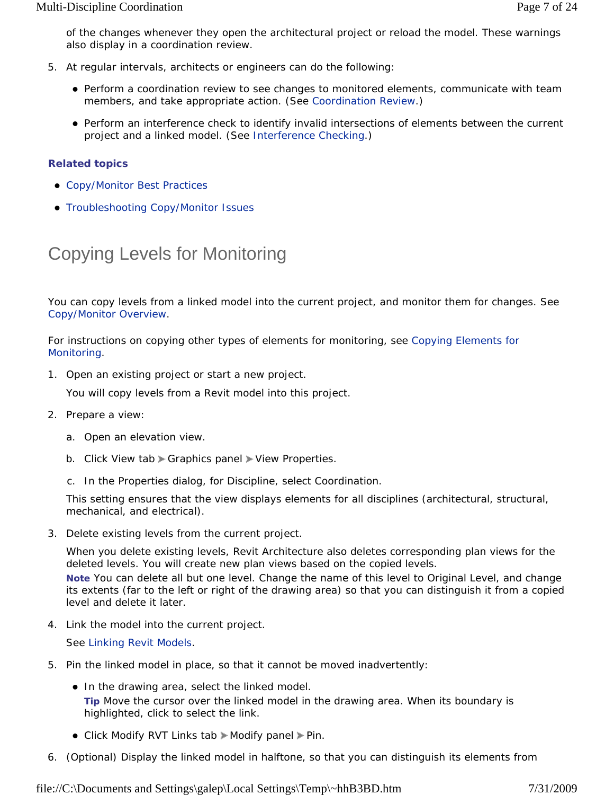of the changes whenever they open the architectural project or reload the model. These warnings also display in a coordination review.

- 5. At regular intervals, architects or engineers can do the following:
	- Perform a coordination review to see changes to monitored elements, communicate with team members, and take appropriate action. (See Coordination Review.)
	- Perform an interference check to identify invalid intersections of elements between the current project and a linked model. (See Interference Checking.)

#### **Related topics**

- Copy/Monitor Best Practices
- **Troubleshooting Copy/Monitor Issues**

## Copying Levels for Monitoring

You can copy levels from a linked model into the current project, and monitor them for changes. See Copy/Monitor Overview.

For instructions on copying other types of elements for monitoring, see Copying Elements for Monitoring.

1. Open an existing project or start a new project.

You will copy levels from a Revit model into this project.

- 2. Prepare a view:
	- a. Open an elevation view.
	- b. Click View tab Graphics panel View Properties.
	- c. In the Properties dialog, for Discipline, select Coordination.

This setting ensures that the view displays elements for all disciplines (architectural, structural, mechanical, and electrical).

3. Delete existing levels from the current project.

When you delete existing levels, Revit Architecture also deletes corresponding plan views for the deleted levels. You will create new plan views based on the copied levels.

**Note** You can delete all but one level. Change the name of this level to Original Level, and change its extents (far to the left or right of the drawing area) so that you can distinguish it from a copied level and delete it later.

4. Link the model into the current project.

See Linking Revit Models.

- 5. Pin the linked model in place, so that it cannot be moved inadvertently:
	- In the drawing area, select the linked model. **Tip** Move the cursor over the linked model in the drawing area. When its boundary is highlighted, click to select the link.
	- Click Modify RVT Links tab > Modify panel > Pin.
- 6. (Optional) Display the linked model in halftone, so that you can distinguish its elements from

file://C:\Documents and Settings\galep\Local Settings\Temp\~hhB3BD.htm 7/31/2009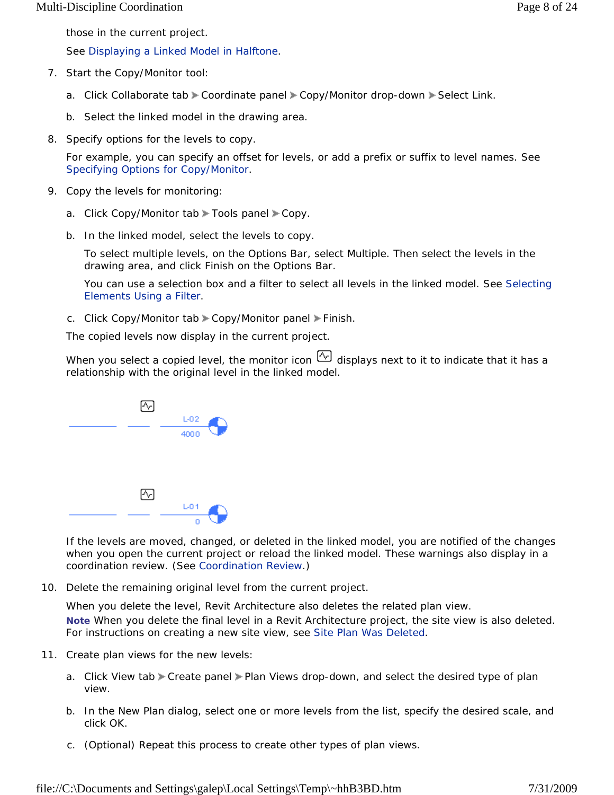those in the current project.

See Displaying a Linked Model in Halftone.

- 7. Start the Copy/Monitor tool:
	- a. Click Collaborate tab Coordinate panel Copy/Monitor drop-down Select Link.
	- b. Select the linked model in the drawing area.
- 8. Specify options for the levels to copy.

For example, you can specify an offset for levels, or add a prefix or suffix to level names. See Specifying Options for Copy/Monitor.

- 9. Copy the levels for monitoring:
	- a. Click Copy/Monitor tab > Tools panel > Copy.
	- b. In the linked model, select the levels to copy.

To select multiple levels, on the Options Bar, select Multiple. Then select the levels in the drawing area, and click Finish on the Options Bar.

You can use a selection box and a filter to select all levels in the linked model. See Selecting Elements Using a Filter.

c. Click Copy/Monitor tab Copy/Monitor panel Finish.

The copied levels now display in the current project.

When you select a copied level, the monitor icon  $\mathbb{C}$  displays next to it to indicate that it has a relationship with the original level in the linked model.



If the levels are moved, changed, or deleted in the linked model, you are notified of the changes when you open the current project or reload the linked model. These warnings also display in a coordination review. (See Coordination Review.)

10. Delete the remaining original level from the current project.

When you delete the level, Revit Architecture also deletes the related plan view. **Note** When you delete the final level in a Revit Architecture project, the site view is also deleted. For instructions on creating a new site view, see Site Plan Was Deleted.

- 11. Create plan views for the new levels:
	- a. Click View tab Create panel > Plan Views drop-down, and select the desired type of plan view.
	- b. In the New Plan dialog, select one or more levels from the list, specify the desired scale, and click OK.
	- c. (Optional) Repeat this process to create other types of plan views.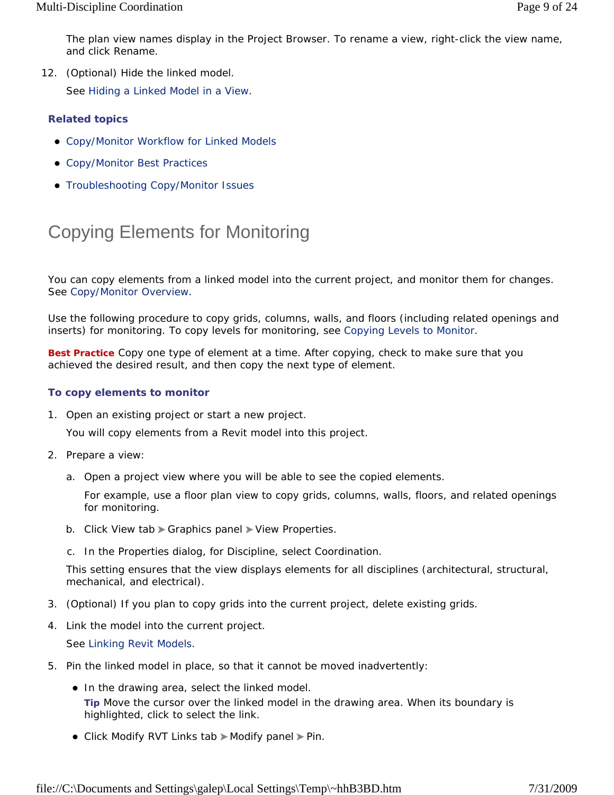The plan view names display in the Project Browser. To rename a view, right-click the view name, and click Rename.

12. (Optional) Hide the linked model.

See Hiding a Linked Model in a View.

#### **Related topics**

- Copy/Monitor Workflow for Linked Models
- Copy/Monitor Best Practices
- **Troubleshooting Copy/Monitor Issues**

# Copying Elements for Monitoring

You can copy elements from a linked model into the current project, and monitor them for changes. See Copy/Monitor Overview.

Use the following procedure to copy grids, columns, walls, and floors (including related openings and inserts) for monitoring. To copy levels for monitoring, see Copying Levels to Monitor.

**Best Practice** Copy one type of element at a time. After copying, check to make sure that you achieved the desired result, and then copy the next type of element.

#### **To copy elements to monitor**

1. Open an existing project or start a new project.

You will copy elements from a Revit model into this project.

- 2. Prepare a view:
	- a. Open a project view where you will be able to see the copied elements.

For example, use a floor plan view to copy grids, columns, walls, floors, and related openings for monitoring.

- b. Click View tab  $\blacktriangleright$  Graphics panel  $\blacktriangleright$  View Properties.
- c. In the Properties dialog, for Discipline, select Coordination.

This setting ensures that the view displays elements for all disciplines (architectural, structural, mechanical, and electrical).

- 3. (Optional) If you plan to copy grids into the current project, delete existing grids.
- 4. Link the model into the current project.

See Linking Revit Models.

- 5. Pin the linked model in place, so that it cannot be moved inadvertently:
	- In the drawing area, select the linked model. **Tip** Move the cursor over the linked model in the drawing area. When its boundary is highlighted, click to select the link.
	- Click Modify RVT Links tab > Modify panel > Pin.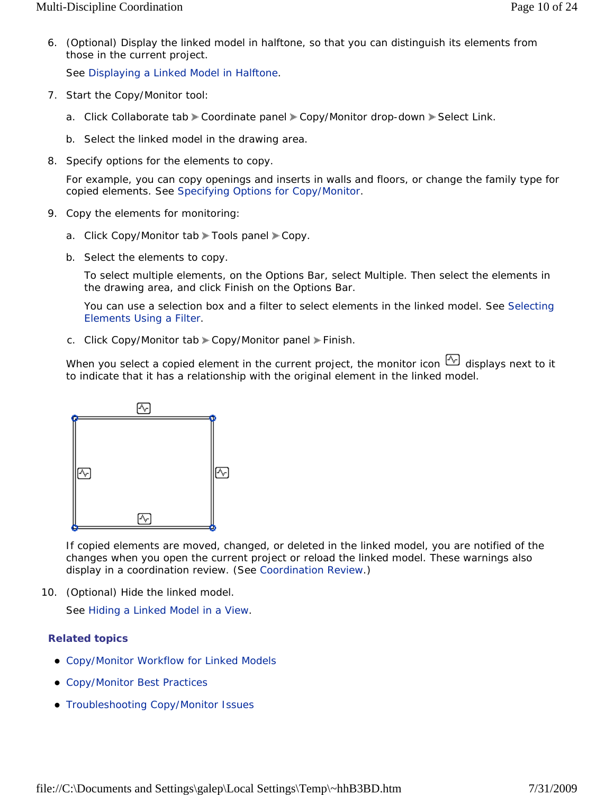6. (Optional) Display the linked model in halftone, so that you can distinguish its elements from those in the current project.

See Displaying a Linked Model in Halftone.

- 7. Start the Copy/Monitor tool:
	- a. Click Collaborate tab > Coordinate panel > Copy/Monitor drop-down > Select Link.
	- b. Select the linked model in the drawing area.
- 8. Specify options for the elements to copy.

For example, you can copy openings and inserts in walls and floors, or change the family type for copied elements. See Specifying Options for Copy/Monitor.

- 9. Copy the elements for monitoring:
	- a. Click Copy/Monitor tab Tools panel Copy.
	- b. Select the elements to copy.

To select multiple elements, on the Options Bar, select Multiple. Then select the elements in the drawing area, and click Finish on the Options Bar.

You can use a selection box and a filter to select elements in the linked model. See Selecting Elements Using a Filter.

c. Click Copy/Monitor tab > Copy/Monitor panel > Finish.

When you select a copied element in the current project, the monitor icon  $\mathbb{E}$  displays next to it to indicate that it has a relationship with the original element in the linked model.



If copied elements are moved, changed, or deleted in the linked model, you are notified of the changes when you open the current project or reload the linked model. These warnings also display in a coordination review. (See Coordination Review.)

10. (Optional) Hide the linked model.

See Hiding a Linked Model in a View.

#### **Related topics**

- Copy/Monitor Workflow for Linked Models
- Copy/Monitor Best Practices
- Troubleshooting Copy/Monitor Issues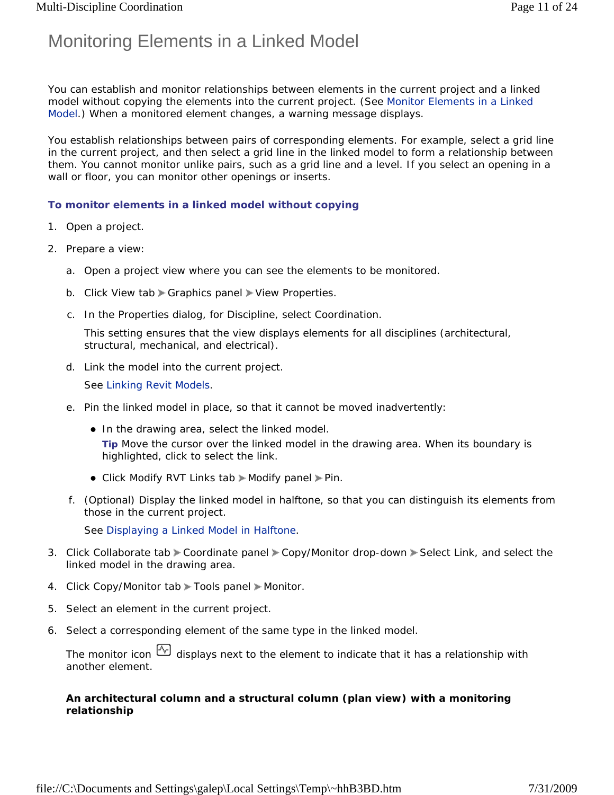## Monitoring Elements in a Linked Model

You can establish and monitor relationships between elements in the current project and a linked model without copying the elements into the current project. (See Monitor Elements in a Linked Model.) When a monitored element changes, a warning message displays.

You establish relationships between pairs of corresponding elements. For example, select a grid line in the current project, and then select a grid line in the linked model to form a relationship between them. You cannot monitor unlike pairs, such as a grid line and a level. If you select an opening in a wall or floor, you can monitor other openings or inserts.

#### **To monitor elements in a linked model without copying**

- 1. Open a project.
- 2. Prepare a view:
	- a. Open a project view where you can see the elements to be monitored.
	- b. Click View tab Craphics panel > View Properties.
	- c. In the Properties dialog, for Discipline, select Coordination.

This setting ensures that the view displays elements for all disciplines (architectural, structural, mechanical, and electrical).

d. Link the model into the current project.

See Linking Revit Models.

- e. Pin the linked model in place, so that it cannot be moved inadvertently:
	- In the drawing area, select the linked model. **Tip** Move the cursor over the linked model in the drawing area. When its boundary is highlighted, click to select the link.
	- Click Modify RVT Links tab > Modify panel > Pin.
- f. (Optional) Display the linked model in halftone, so that you can distinguish its elements from those in the current project.

See Displaying a Linked Model in Halftone.

- 3. Click Collaborate tab > Coordinate panel > Copy/Monitor drop-down > Select Link, and select the linked model in the drawing area.
- 4. Click Copy/Monitor tab > Tools panel > Monitor.
- 5. Select an element in the current project.
- 6. Select a corresponding element of the same type in the linked model.

The monitor icon  $\mathbb{Q}$  displays next to the element to indicate that it has a relationship with another element.

#### *An architectural column and a structural column (plan view) with a monitoring relationship*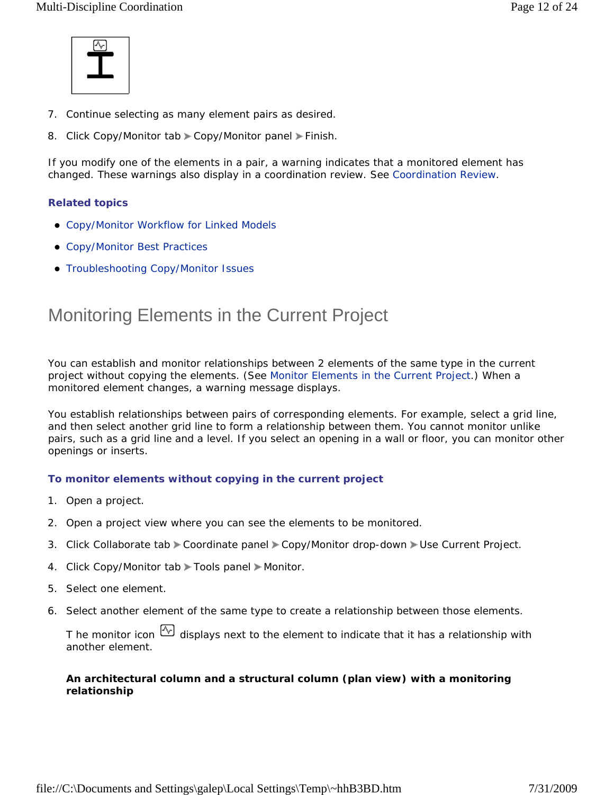

- 7. Continue selecting as many element pairs as desired.
- 8. Click Copy/Monitor tab Copy/Monitor panel Finish.

If you modify one of the elements in a pair, a warning indicates that a monitored element has changed. These warnings also display in a coordination review. See Coordination Review.

#### **Related topics**

- Copy/Monitor Workflow for Linked Models
- Copy/Monitor Best Practices
- **Troubleshooting Copy/Monitor Issues**

### Monitoring Elements in the Current Project

You can establish and monitor relationships between 2 elements of the same type in the current project without copying the elements. (See Monitor Elements in the Current Project.) When a monitored element changes, a warning message displays.

You establish relationships between pairs of corresponding elements. For example, select a grid line, and then select another grid line to form a relationship between them. You cannot monitor unlike pairs, such as a grid line and a level. If you select an opening in a wall or floor, you can monitor other openings or inserts.

#### **To monitor elements without copying in the current project**

- 1. Open a project.
- 2. Open a project view where you can see the elements to be monitored.
- 3. Click Collaborate tab > Coordinate panel > Copy/Monitor drop-down > Use Current Project.
- 4. Click Copy/Monitor tab > Tools panel > Monitor.
- 5. Select one element.
- 6. Select another element of the same type to create a relationship between those elements.

T he monitor icon  $\mathbb{Q}$  displays next to the element to indicate that it has a relationship with another element.

#### *An architectural column and a structural column (plan view) with a monitoring relationship*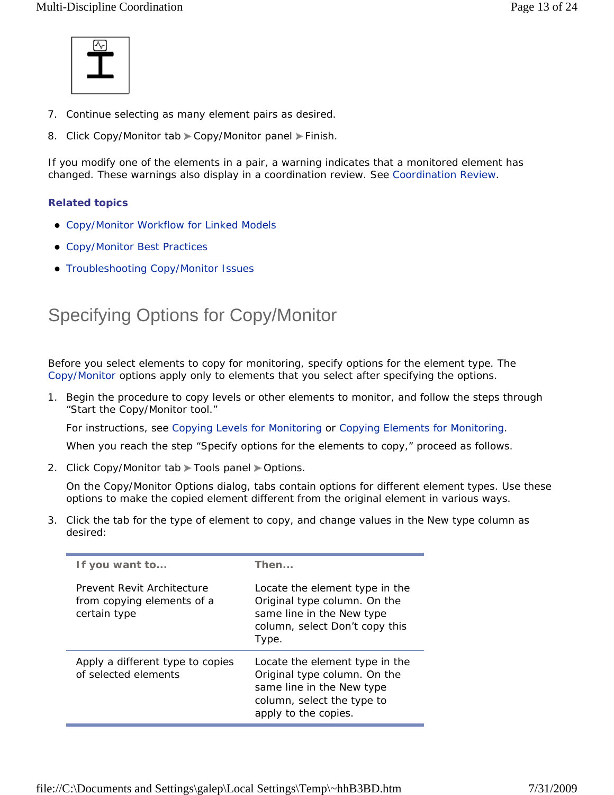

- 7. Continue selecting as many element pairs as desired.
- 8. Click Copy/Monitor tab Copy/Monitor panel Finish.

If you modify one of the elements in a pair, a warning indicates that a monitored element has changed. These warnings also display in a coordination review. See Coordination Review.

#### **Related topics**

- Copy/Monitor Workflow for Linked Models
- Copy/Monitor Best Practices
- **Troubleshooting Copy/Monitor Issues**

## Specifying Options for Copy/Monitor

Before you select elements to copy for monitoring, specify options for the element type. The Copy/Monitor options apply only to elements that you select after specifying the options.

1. Begin the procedure to copy levels or other elements to monitor, and follow the steps through "Start the Copy/Monitor tool."

For instructions, see Copying Levels for Monitoring or Copying Elements for Monitoring.

When you reach the step "Specify options for the elements to copy," proceed as follows.

2. Click Copy/Monitor tab > Tools panel > Options.

On the Copy/Monitor Options dialog, tabs contain options for different element types. Use these options to make the copied element different from the original element in various ways.

3. Click the tab for the type of element to copy, and change values in the New type column as desired:

| If you want to                                                           | Then                                                                                                                                              |
|--------------------------------------------------------------------------|---------------------------------------------------------------------------------------------------------------------------------------------------|
| Prevent Revit Architecture<br>from copying elements of a<br>certain type | Locate the element type in the<br>Original type column. On the<br>same line in the New type<br>column, select Don't copy this<br>Type.            |
| Apply a different type to copies<br>of selected elements                 | Locate the element type in the<br>Original type column. On the<br>same line in the New type<br>column, select the type to<br>apply to the copies. |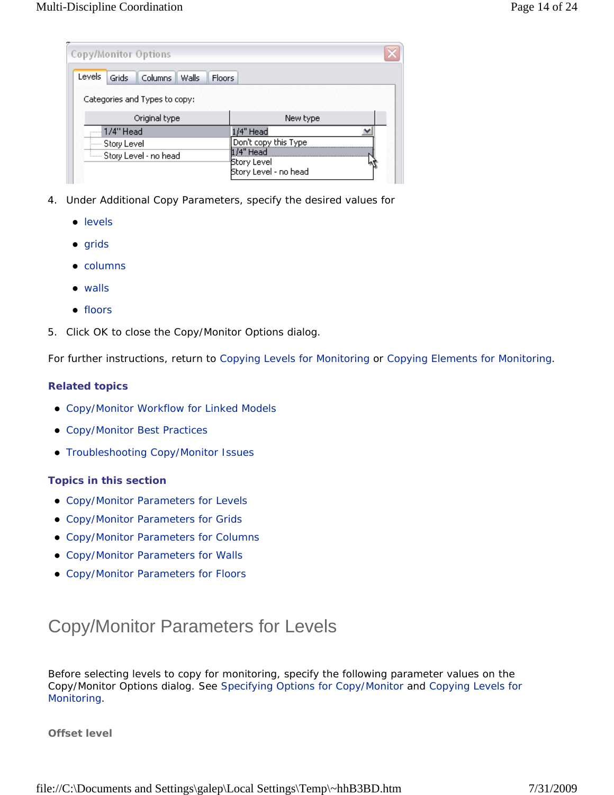| Copy/Monitor Options                              |                                                      |
|---------------------------------------------------|------------------------------------------------------|
| Levels<br>Grids<br>Columns Walls<br><b>Floors</b> |                                                      |
| Categories and Types to copy:                     |                                                      |
| Original type                                     | New type                                             |
| .----  1 / 4'' Head                               | /4" Head                                             |
| ∣— Story Level                                    | Don't copy this Type                                 |
| <b>Election</b> Story Level - no head             | $1/4$ " Head<br>Story Level<br>Story Level - no head |

- 4. Under Additional Copy Parameters, specify the desired values for
	- levels
	- $\bullet$  grids
	- $\bullet$  columns
	- walls
	- floors
- 5. Click OK to close the Copy/Monitor Options dialog.

For further instructions, return to Copying Levels for Monitoring or Copying Elements for Monitoring.

#### **Related topics**

- Copy/Monitor Workflow for Linked Models
- Copy/Monitor Best Practices
- Troubleshooting Copy/Monitor Issues

#### **Topics in this section**

- Copy/Monitor Parameters for Levels
- Copy/Monitor Parameters for Grids
- Copy/Monitor Parameters for Columns
- Copy/Monitor Parameters for Walls
- Copy/Monitor Parameters for Floors

## Copy/Monitor Parameters for Levels

Before selecting levels to copy for monitoring, specify the following parameter values on the Copy/Monitor Options dialog. See Specifying Options for Copy/Monitor and Copying Levels for Monitoring.

**Offset level**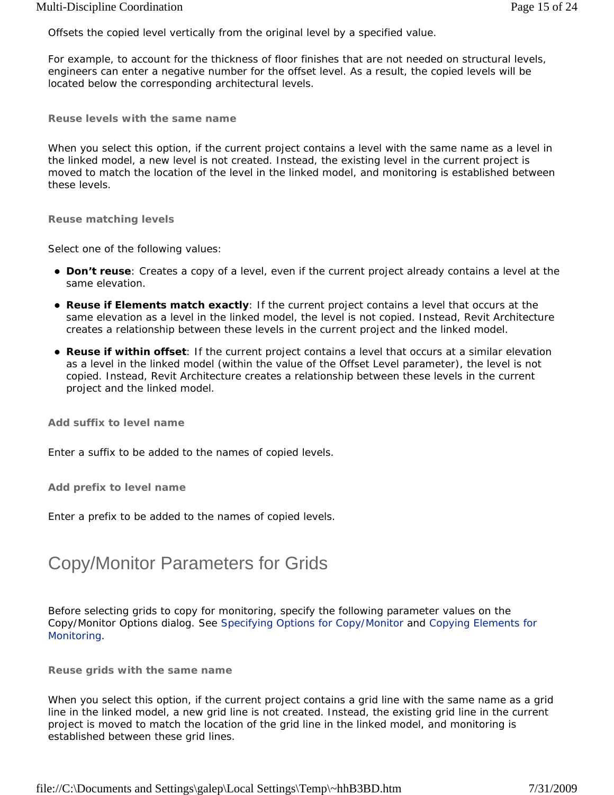Offsets the copied level vertically from the original level by a specified value.

For example, to account for the thickness of floor finishes that are not needed on structural levels, engineers can enter a negative number for the offset level. As a result, the copied levels will be located below the corresponding architectural levels.

**Reuse levels with the same name** 

When you select this option, if the current project contains a level with the same name as a level in the linked model, a new level is not created. Instead, the existing level in the current project is moved to match the location of the level in the linked model, and monitoring is established between these levels.

**Reuse matching levels** 

Select one of the following values:

- **Don't reuse**: Creates a copy of a level, even if the current project already contains a level at the same elevation.
- **Reuse if Elements match exactly**: If the current project contains a level that occurs at the same elevation as a level in the linked model, the level is not copied. Instead, Revit Architecture creates a relationship between these levels in the current project and the linked model.
- **Reuse if within offset**: If the current project contains a level that occurs at a similar elevation as a level in the linked model (within the value of the Offset Level parameter), the level is not copied. Instead, Revit Architecture creates a relationship between these levels in the current project and the linked model.

**Add suffix to level name** 

Enter a suffix to be added to the names of copied levels.

**Add prefix to level name** 

Enter a prefix to be added to the names of copied levels.

### Copy/Monitor Parameters for Grids

Before selecting grids to copy for monitoring, specify the following parameter values on the Copy/Monitor Options dialog. See Specifying Options for Copy/Monitor and Copying Elements for Monitoring.

**Reuse grids with the same name** 

When you select this option, if the current project contains a grid line with the same name as a grid line in the linked model, a new grid line is not created. Instead, the existing grid line in the current project is moved to match the location of the grid line in the linked model, and monitoring is established between these grid lines.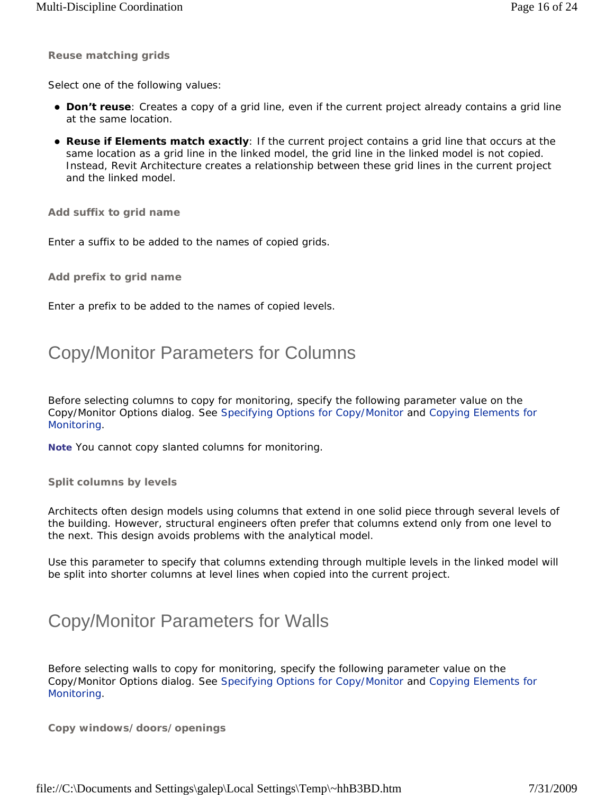**Reuse matching grids** 

Select one of the following values:

- **Don't reuse**: Creates a copy of a grid line, even if the current project already contains a grid line at the same location.
- **Reuse if Elements match exactly**: If the current project contains a grid line that occurs at the same location as a grid line in the linked model, the grid line in the linked model is not copied. Instead, Revit Architecture creates a relationship between these grid lines in the current project and the linked model.

**Add suffix to grid name** 

Enter a suffix to be added to the names of copied grids.

**Add prefix to grid name** 

Enter a prefix to be added to the names of copied levels.

### Copy/Monitor Parameters for Columns

Before selecting columns to copy for monitoring, specify the following parameter value on the Copy/Monitor Options dialog. See Specifying Options for Copy/Monitor and Copying Elements for Monitoring.

**Note** You cannot copy slanted columns for monitoring.

**Split columns by levels** 

Architects often design models using columns that extend in one solid piece through several levels of the building. However, structural engineers often prefer that columns extend only from one level to the next. This design avoids problems with the analytical model.

Use this parameter to specify that columns extending through multiple levels in the linked model will be split into shorter columns at level lines when copied into the current project.

### Copy/Monitor Parameters for Walls

Before selecting walls to copy for monitoring, specify the following parameter value on the Copy/Monitor Options dialog. See Specifying Options for Copy/Monitor and Copying Elements for Monitoring.

**Copy windows/doors/openings**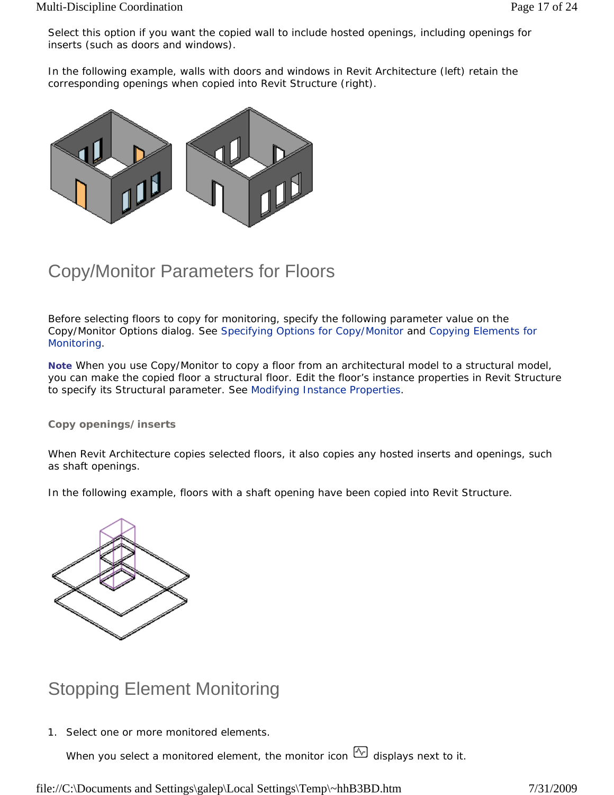Select this option if you want the copied wall to include hosted openings, including openings for inserts (such as doors and windows).

In the following example, walls with doors and windows in Revit Architecture (left) retain the corresponding openings when copied into Revit Structure (right).



### Copy/Monitor Parameters for Floors

Before selecting floors to copy for monitoring, specify the following parameter value on the Copy/Monitor Options dialog. See Specifying Options for Copy/Monitor and Copying Elements for Monitoring.

Note When you use Copy/Monitor to copy a floor from an architectural model to a structural model, you can make the copied floor a structural floor. Edit the floor's instance properties in Revit Structure to specify its Structural parameter. See Modifying Instance Properties.

#### **Copy openings/inserts**

When Revit Architecture copies selected floors, it also copies any hosted inserts and openings, such as shaft openings.

In the following example, floors with a shaft opening have been copied into Revit Structure.



### Stopping Element Monitoring

1. Select one or more monitored elements.

When you select a monitored element, the monitor icon  $\overline{\mathbb{Q}}$  displays next to it.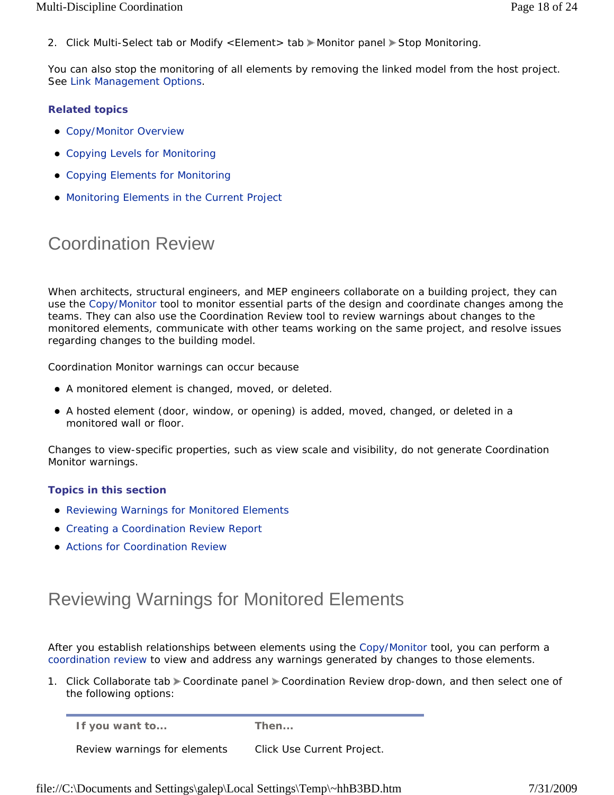2. Click Multi-Select tab or Modify <Element> tab Monitor panel > Stop Monitoring.

You can also stop the monitoring of all elements by removing the linked model from the host project. See Link Management Options.

#### **Related topics**

- Copy/Monitor Overview
- Copying Levels for Monitoring
- Copying Elements for Monitoring
- Monitoring Elements in the Current Project

## Coordination Review

When architects, structural engineers, and MEP engineers collaborate on a building project, they can use the Copy/Monitor tool to monitor essential parts of the design and coordinate changes among the teams. They can also use the Coordination Review tool to review warnings about changes to the monitored elements, communicate with other teams working on the same project, and resolve issues regarding changes to the building model.

Coordination Monitor warnings can occur because

- A monitored element is changed, moved, or deleted.
- A hosted element (door, window, or opening) is added, moved, changed, or deleted in a monitored wall or floor.

Changes to view-specific properties, such as view scale and visibility, do not generate Coordination Monitor warnings.

#### **Topics in this section**

- Reviewing Warnings for Monitored Elements
- **Creating a Coordination Review Report**
- **Actions for Coordination Review**

### Reviewing Warnings for Monitored Elements

After you establish relationships between elements using the Copy/Monitor tool, you can perform a coordination review to view and address any warnings generated by changes to those elements.

1. Click Collaborate tab Coordinate panel Coordination Review drop-down, and then select one of the following options:

**If you want to... Then...**

Review warnings for elements Click Use Current Project.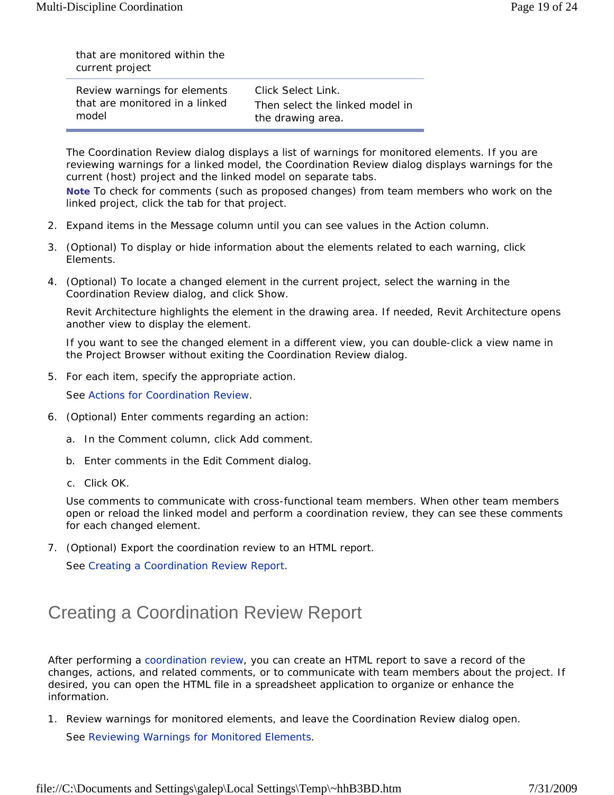that are monitored within the current project

| Review warnings for elements   | Click Select Link.              |
|--------------------------------|---------------------------------|
| that are monitored in a linked | Then select the linked model in |
| model                          | the drawing area.               |

The Coordination Review dialog displays a list of warnings for monitored elements. If you are reviewing warnings for a linked model, the Coordination Review dialog displays warnings for the current (host) project and the linked model on separate tabs.

**Note** To check for comments (such as proposed changes) from team members who work on the linked project, click the tab for that project.

- 2. Expand items in the Message column until you can see values in the Action column.
- 3. (Optional) To display or hide information about the elements related to each warning, click Elements.
- 4. (Optional) To locate a changed element in the current project, select the warning in the Coordination Review dialog, and click Show.

Revit Architecture highlights the element in the drawing area. If needed, Revit Architecture opens another view to display the element.

If you want to see the changed element in a different view, you can double-click a view name in the Project Browser without exiting the Coordination Review dialog.

5. For each item, specify the appropriate action.

See Actions for Coordination Review.

- 6. (Optional) Enter comments regarding an action:
	- a. In the Comment column, click Add comment.
	- b. Enter comments in the Edit Comment dialog.
	- c. Click OK.

Use comments to communicate with cross-functional team members. When other team members open or reload the linked model and perform a coordination review, they can see these comments for each changed element.

7. (Optional) Export the coordination review to an HTML report.

See Creating a Coordination Review Report.

# Creating a Coordination Review Report

After performing a coordination review, you can create an HTML report to save a record of the changes, actions, and related comments, or to communicate with team members about the project. If desired, you can open the HTML file in a spreadsheet application to organize or enhance the information.

1. Review warnings for monitored elements, and leave the Coordination Review dialog open.

See Reviewing Warnings for Monitored Elements.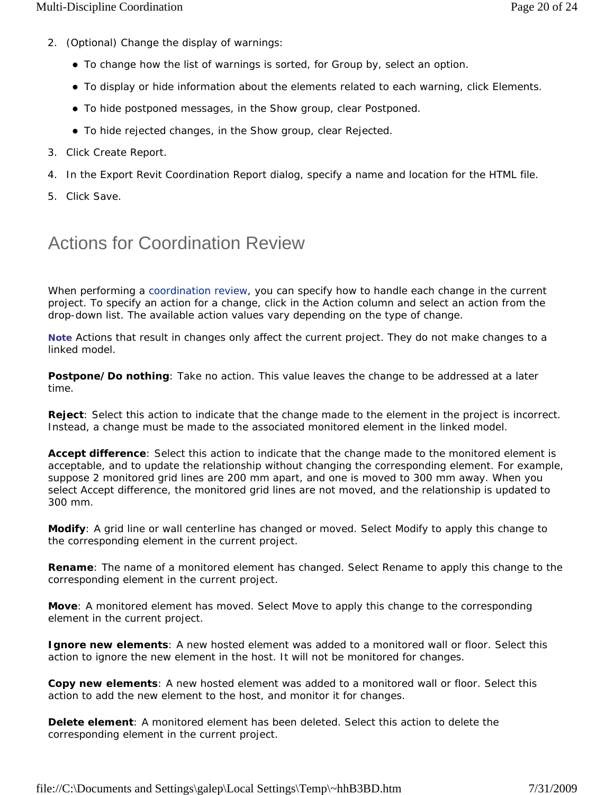- 2. (Optional) Change the display of warnings:
	- To change how the list of warnings is sorted, for Group by, select an option.
	- To display or hide information about the elements related to each warning, click Elements.
	- To hide postponed messages, in the Show group, clear Postponed.
	- To hide rejected changes, in the Show group, clear Rejected.
- 3. Click Create Report.
- 4. In the Export Revit Coordination Report dialog, specify a name and location for the HTML file.
- 5. Click Save.

### Actions for Coordination Review

When performing a coordination review, you can specify how to handle each change in the current project. To specify an action for a change, click in the Action column and select an action from the drop-down list. The available action values vary depending on the type of change.

**Note** Actions that result in changes only affect the current project. They do not make changes to a linked model.

**Postpone/Do nothing**: Take no action. This value leaves the change to be addressed at a later time.

**Reject**: Select this action to indicate that the change made to the element in the project is incorrect. Instead, a change must be made to the associated monitored element in the linked model.

**Accept difference**: Select this action to indicate that the change made to the monitored element is acceptable, and to update the relationship without changing the corresponding element. For example, suppose 2 monitored grid lines are 200 mm apart, and one is moved to 300 mm away. When you select Accept difference, the monitored grid lines are not moved, and the relationship is updated to 300 mm.

**Modify**: A grid line or wall centerline has changed or moved. Select Modify to apply this change to the corresponding element in the current project.

**Rename**: The name of a monitored element has changed. Select Rename to apply this change to the corresponding element in the current project.

**Move**: A monitored element has moved. Select Move to apply this change to the corresponding element in the current project.

**Ignore new elements**: A new hosted element was added to a monitored wall or floor. Select this action to ignore the new element in the host. It will not be monitored for changes.

**Copy new elements**: A new hosted element was added to a monitored wall or floor. Select this action to add the new element to the host, and monitor it for changes.

**Delete element**: A monitored element has been deleted. Select this action to delete the corresponding element in the current project.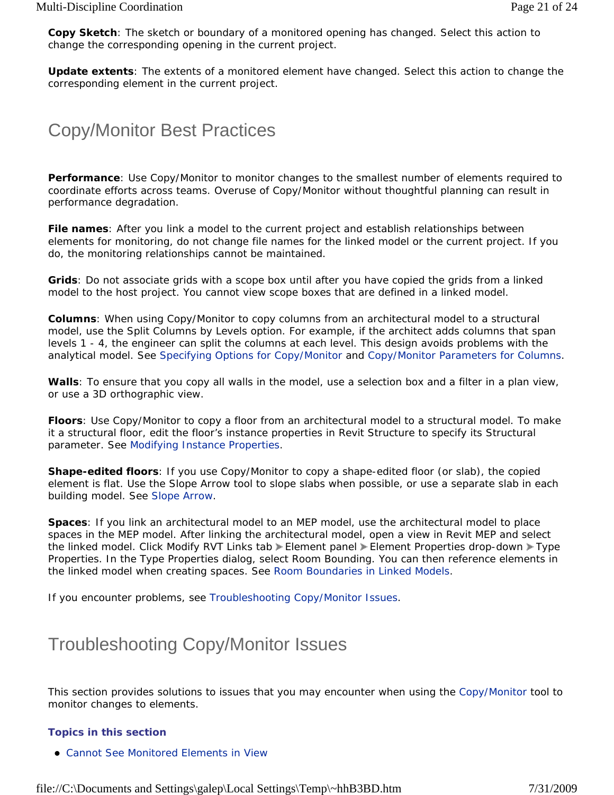**Copy Sketch**: The sketch or boundary of a monitored opening has changed. Select this action to change the corresponding opening in the current project.

**Update extents**: The extents of a monitored element have changed. Select this action to change the corresponding element in the current project.

# Copy/Monitor Best Practices

**Performance**: Use Copy/Monitor to monitor changes to the smallest number of elements required to coordinate efforts across teams. Overuse of Copy/Monitor without thoughtful planning can result in performance degradation.

**File names**: After you link a model to the current project and establish relationships between elements for monitoring, do not change file names for the linked model or the current project. If you do, the monitoring relationships cannot be maintained.

**Grids**: Do not associate grids with a scope box until after you have copied the grids from a linked model to the host project. You cannot view scope boxes that are defined in a linked model.

**Columns**: When using Copy/Monitor to copy columns from an architectural model to a structural model, use the Split Columns by Levels option. For example, if the architect adds columns that span levels 1 - 4, the engineer can split the columns at each level. This design avoids problems with the analytical model. See Specifying Options for Copy/Monitor and Copy/Monitor Parameters for Columns.

**Walls**: To ensure that you copy all walls in the model, use a selection box and a filter in a plan view, or use a 3D orthographic view.

**Floors**: Use Copy/Monitor to copy a floor from an architectural model to a structural model. To make it a structural floor, edit the floor's instance properties in Revit Structure to specify its Structural parameter. See Modifying Instance Properties.

**Shape-edited floors**: If you use Copy/Monitor to copy a shape-edited floor (or slab), the copied element is flat. Use the Slope Arrow tool to slope slabs when possible, or use a separate slab in each building model. See Slope Arrow.

**Spaces**: If you link an architectural model to an MEP model, use the architectural model to place spaces in the MEP model. After linking the architectural model, open a view in Revit MEP and select the linked model. Click Modify RVT Links tab > Element panel > Element Properties drop-down > Type Properties. In the Type Properties dialog, select Room Bounding. You can then reference elements in the linked model when creating spaces. See Room Boundaries in Linked Models.

If you encounter problems, see Troubleshooting Copy/Monitor Issues.

## Troubleshooting Copy/Monitor Issues

This section provides solutions to issues that you may encounter when using the Copy/Monitor tool to monitor changes to elements.

#### **Topics in this section**

Cannot See Monitored Elements in View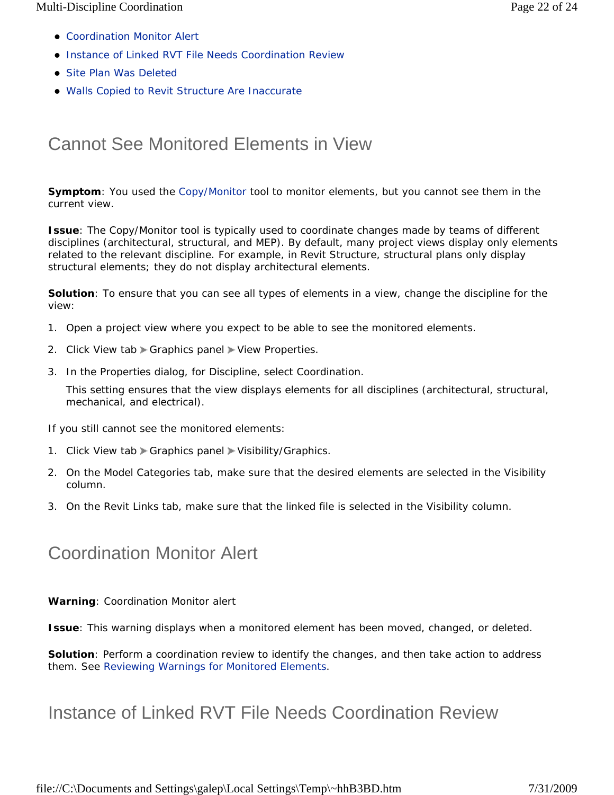- Coordination Monitor Alert
- **Instance of Linked RVT File Needs Coordination Review**
- Site Plan Was Deleted
- Walls Copied to Revit Structure Are Inaccurate

# Cannot See Monitored Elements in View

**Symptom**: You used the Copy/Monitor tool to monitor elements, but you cannot see them in the current view.

**Issue**: The Copy/Monitor tool is typically used to coordinate changes made by teams of different disciplines (architectural, structural, and MEP). By default, many project views display only elements related to the relevant discipline. For example, in Revit Structure, structural plans only display structural elements; they do not display architectural elements.

**Solution**: To ensure that you can see all types of elements in a view, change the discipline for the view:

- 1. Open a project view where you expect to be able to see the monitored elements.
- 2. Click View tab  $\blacktriangleright$  Graphics panel  $\blacktriangleright$  View Properties.
- 3. In the Properties dialog, for Discipline, select Coordination.

This setting ensures that the view displays elements for all disciplines (architectural, structural, mechanical, and electrical).

If you still cannot see the monitored elements:

- 1. Click View tab  $\blacktriangleright$  Graphics panel  $\blacktriangleright$  Visibility/Graphics.
- 2. On the Model Categories tab, make sure that the desired elements are selected in the Visibility column.
- 3. On the Revit Links tab, make sure that the linked file is selected in the Visibility column.

# Coordination Monitor Alert

**Warning**: Coordination Monitor alert

**Issue**: This warning displays when a monitored element has been moved, changed, or deleted.

**Solution**: Perform a coordination review to identify the changes, and then take action to address them. See Reviewing Warnings for Monitored Elements.

# Instance of Linked RVT File Needs Coordination Review

file://C:\Documents and Settings\galep\Local Settings\Temp\~hhB3BD.htm 7/31/2009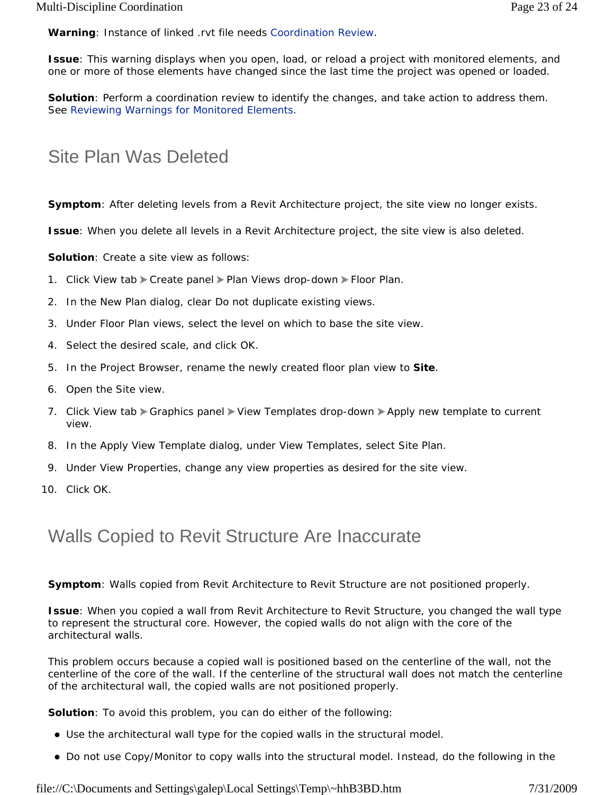**Warning**: Instance of linked .rvt file needs Coordination Review.

**Issue**: This warning displays when you open, load, or reload a project with monitored elements, and one or more of those elements have changed since the last time the project was opened or loaded.

**Solution**: Perform a coordination review to identify the changes, and take action to address them. See Reviewing Warnings for Monitored Elements.

### Site Plan Was Deleted

**Symptom**: After deleting levels from a Revit Architecture project, the site view no longer exists.

**Issue**: When you delete all levels in a Revit Architecture project, the site view is also deleted.

**Solution**: Create a site view as follows:

- 1. Click View tab > Create panel > Plan Views drop-down > Floor Plan.
- 2. In the New Plan dialog, clear Do not duplicate existing views.
- 3. Under Floor Plan views, select the level on which to base the site view.
- 4. Select the desired scale, and click OK.
- 5. In the Project Browser, rename the newly created floor plan view to **Site**.
- 6. Open the Site view.
- 7. Click View tab Acraphics panel > View Templates drop-down > Apply new template to current view.
- 8. In the Apply View Template dialog, under View Templates, select Site Plan.
- 9. Under View Properties, change any view properties as desired for the site view.
- 10. Click OK.

### Walls Copied to Revit Structure Are Inaccurate

**Symptom**: Walls copied from Revit Architecture to Revit Structure are not positioned properly.

**Issue**: When you copied a wall from Revit Architecture to Revit Structure, you changed the wall type to represent the structural core. However, the copied walls do not align with the core of the architectural walls.

This problem occurs because a copied wall is positioned based on the centerline of the wall, not the centerline of the core of the wall. If the centerline of the structural wall does not match the centerline of the architectural wall, the copied walls are not positioned properly.

**Solution**: To avoid this problem, you can do either of the following:

- Use the architectural wall type for the copied walls in the structural model.
- Do not use Copy/Monitor to copy walls into the structural model. Instead, do the following in the